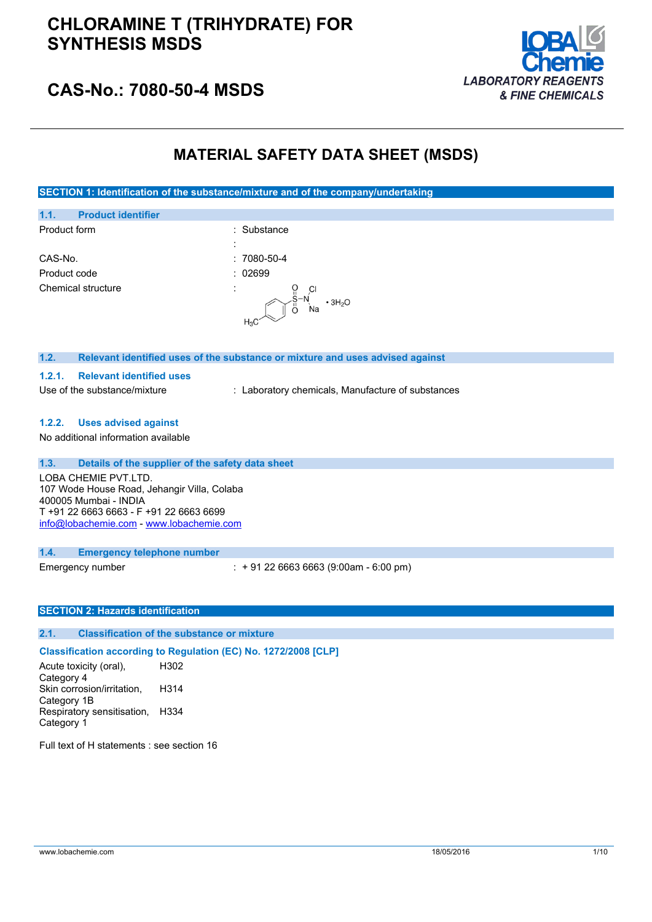

## **CAS-No.: 7080-50-4 MSDS**

## **MATERIAL SAFETY DATA SHEET (MSDS)**

**SECTION 1: Identification of the substance/mixture and of the company/undertaking**

| 1.1.<br><b>Product identifier</b>                                                                                                                                                   |                                                                               |
|-------------------------------------------------------------------------------------------------------------------------------------------------------------------------------------|-------------------------------------------------------------------------------|
| Product form                                                                                                                                                                        | Substance                                                                     |
|                                                                                                                                                                                     |                                                                               |
| CAS-No.                                                                                                                                                                             | $:7080 - 50 - 4$                                                              |
| Product code                                                                                                                                                                        | : 02699                                                                       |
| Chemical structure                                                                                                                                                                  | $\cdot$ 3H <sub>2</sub> O<br>$H_3C$                                           |
| 1.2.                                                                                                                                                                                | Relevant identified uses of the substance or mixture and uses advised against |
| <b>Relevant identified uses</b><br>1.2.1.                                                                                                                                           |                                                                               |
| Use of the substance/mixture                                                                                                                                                        | : Laboratory chemicals, Manufacture of substances                             |
| <b>Uses advised against</b><br>1.2.2.                                                                                                                                               |                                                                               |
| No additional information available                                                                                                                                                 |                                                                               |
| 1.3.<br>Details of the supplier of the safety data sheet                                                                                                                            |                                                                               |
| LOBA CHEMIE PVT.LTD.<br>107 Wode House Road, Jehangir Villa, Colaba<br>400005 Mumbai - INDIA<br>T +91 22 6663 6663 - F +91 22 6663 6699<br>info@lobachemie.com - www.lobachemie.com |                                                                               |

### **1.4. Emergency telephone number**

Emergency number : + 91 22 6663 6663 (9:00am - 6:00 pm)

### **SECTION 2: Hazards identification**

### **2.1. Classification of the substance or mixture**

### **Classification according to Regulation (EC) No. 1272/2008 [CLP]**

Acute toxicity (oral), Category 4 H302 Skin corrosion/irritation, Category 1B H314 Respiratory sensitisation, H334 Category 1

Full text of H statements : see section 16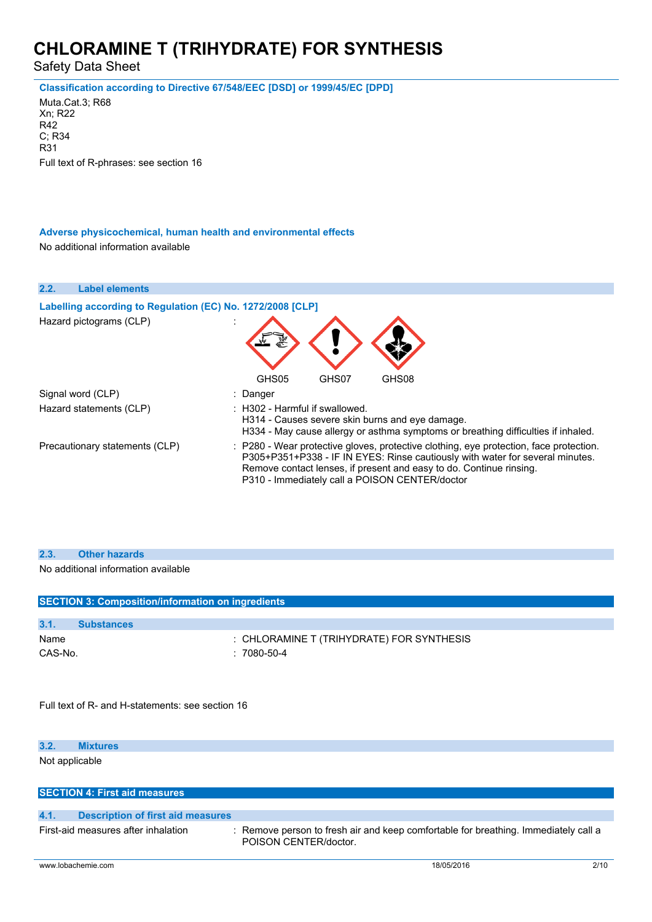Safety Data Sheet

#### **Classification according to Directive 67/548/EEC [DSD] or 1999/45/EC [DPD]**

Muta.Cat.3; R68 Xn; R22 R42 C; R34 R31 Full text of R-phrases: see section 16

### **Adverse physicochemical, human health and environmental effects**

No additional information available

| 2.2.<br><b>Label elements</b>                              |                                                                                                                                                                                                                                                                                                  |
|------------------------------------------------------------|--------------------------------------------------------------------------------------------------------------------------------------------------------------------------------------------------------------------------------------------------------------------------------------------------|
| Labelling according to Regulation (EC) No. 1272/2008 [CLP] |                                                                                                                                                                                                                                                                                                  |
| Hazard pictograms (CLP)                                    |                                                                                                                                                                                                                                                                                                  |
|                                                            | GHS08<br>GHS05<br>GHS07                                                                                                                                                                                                                                                                          |
| Signal word (CLP)                                          | : Danger                                                                                                                                                                                                                                                                                         |
| Hazard statements (CLP)                                    | $\therefore$ H302 - Harmful if swallowed.<br>H314 - Causes severe skin burns and eye damage.<br>H334 - May cause allergy or asthma symptoms or breathing difficulties if inhaled.                                                                                                                |
| Precautionary statements (CLP)                             | : P280 - Wear protective gloves, protective clothing, eye protection, face protection.<br>P305+P351+P338 - IF IN EYES: Rinse cautiously with water for several minutes.<br>Remove contact lenses, if present and easy to do. Continue rinsing.<br>P310 - Immediately call a POISON CENTER/doctor |

No additional information available

| <b>SECTION 3: Composition/information on ingredients</b> |                                           |
|----------------------------------------------------------|-------------------------------------------|
|                                                          |                                           |
| 3.1.<br><b>Substances</b>                                |                                           |
| Name                                                     | : CHLORAMINE T (TRIHYDRATE) FOR SYNTHESIS |
| CAS-No.                                                  | $: 7080 - 50 - 4$                         |
|                                                          |                                           |
|                                                          |                                           |
| Full text of R- and H-statements: see section 16         |                                           |

#### **3.2. Mixtures**

Not applicable

| <b>SECTION 4: First aid measures.</b> |  |
|---------------------------------------|--|
|---------------------------------------|--|

| <b>Description of first aid measures</b><br>4.1. |
|--------------------------------------------------|
|--------------------------------------------------|

First-aid measures after inhalation : Remove person to fresh air and keep comfortable for breathing. Immediately call a POISON CENTER/doctor.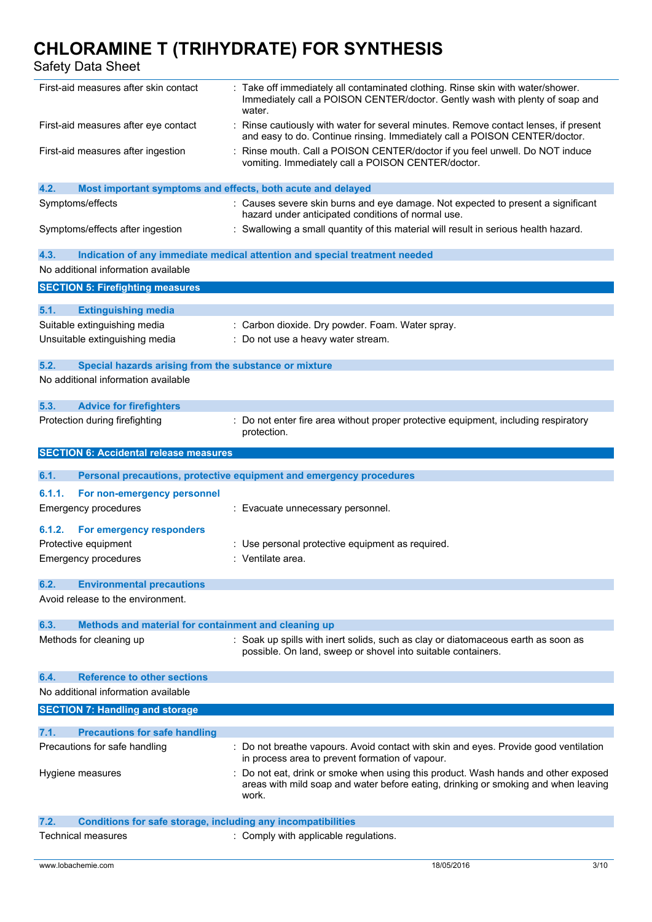Safety Data Sheet

| First-aid measures after skin contact                                                     | : Take off immediately all contaminated clothing. Rinse skin with water/shower.<br>Immediately call a POISON CENTER/doctor. Gently wash with plenty of soap and<br>water.       |
|-------------------------------------------------------------------------------------------|---------------------------------------------------------------------------------------------------------------------------------------------------------------------------------|
| First-aid measures after eye contact                                                      | : Rinse cautiously with water for several minutes. Remove contact lenses, if present<br>and easy to do. Continue rinsing. Immediately call a POISON CENTER/doctor.              |
| First-aid measures after ingestion                                                        | : Rinse mouth. Call a POISON CENTER/doctor if you feel unwell. Do NOT induce<br>vomiting. Immediately call a POISON CENTER/doctor.                                              |
| 4.2.<br>Most important symptoms and effects, both acute and delayed                       |                                                                                                                                                                                 |
| Symptoms/effects                                                                          | : Causes severe skin burns and eye damage. Not expected to present a significant<br>hazard under anticipated conditions of normal use.                                          |
| Symptoms/effects after ingestion                                                          | : Swallowing a small quantity of this material will result in serious health hazard.                                                                                            |
| 4.3.                                                                                      | Indication of any immediate medical attention and special treatment needed                                                                                                      |
| No additional information available                                                       |                                                                                                                                                                                 |
| <b>SECTION 5: Firefighting measures</b>                                                   |                                                                                                                                                                                 |
| 5.1.<br><b>Extinguishing media</b>                                                        |                                                                                                                                                                                 |
| Suitable extinguishing media                                                              | : Carbon dioxide. Dry powder. Foam. Water spray.                                                                                                                                |
| Unsuitable extinguishing media                                                            | : Do not use a heavy water stream.                                                                                                                                              |
|                                                                                           |                                                                                                                                                                                 |
| 5.2.<br>Special hazards arising from the substance or mixture                             |                                                                                                                                                                                 |
| No additional information available                                                       |                                                                                                                                                                                 |
| 5.3.<br><b>Advice for firefighters</b>                                                    |                                                                                                                                                                                 |
| Protection during firefighting                                                            | : Do not enter fire area without proper protective equipment, including respiratory<br>protection.                                                                              |
| <b>SECTION 6: Accidental release measures</b>                                             |                                                                                                                                                                                 |
|                                                                                           |                                                                                                                                                                                 |
|                                                                                           |                                                                                                                                                                                 |
| 6.1.                                                                                      | Personal precautions, protective equipment and emergency procedures                                                                                                             |
| 6.1.1.<br>For non-emergency personnel<br><b>Emergency procedures</b>                      | : Evacuate unnecessary personnel.                                                                                                                                               |
| 6.1.2.                                                                                    |                                                                                                                                                                                 |
| For emergency responders                                                                  |                                                                                                                                                                                 |
| Protective equipment                                                                      | : Use personal protective equipment as required.                                                                                                                                |
| <b>Emergency procedures</b>                                                               | : Ventilate area.                                                                                                                                                               |
| 6.2.<br><b>Environmental precautions</b>                                                  |                                                                                                                                                                                 |
| Avoid release to the environment.                                                         |                                                                                                                                                                                 |
| 6.3.<br>Methods and material for containment and cleaning up                              |                                                                                                                                                                                 |
| Methods for cleaning up                                                                   | : Soak up spills with inert solids, such as clay or diatomaceous earth as soon as<br>possible. On land, sweep or shovel into suitable containers.                               |
|                                                                                           |                                                                                                                                                                                 |
| <b>Reference to other sections</b><br>6.4.                                                |                                                                                                                                                                                 |
| No additional information available                                                       |                                                                                                                                                                                 |
| <b>SECTION 7: Handling and storage</b>                                                    |                                                                                                                                                                                 |
| 7.1.<br><b>Precautions for safe handling</b>                                              |                                                                                                                                                                                 |
| Precautions for safe handling                                                             | : Do not breathe vapours. Avoid contact with skin and eyes. Provide good ventilation<br>in process area to prevent formation of vapour.                                         |
| Hygiene measures                                                                          | Do not eat, drink or smoke when using this product. Wash hands and other exposed<br>areas with mild soap and water before eating, drinking or smoking and when leaving<br>work. |
| 7.2.                                                                                      |                                                                                                                                                                                 |
| <b>Conditions for safe storage, including any incompatibilities</b><br>Technical measures | : Comply with applicable regulations.                                                                                                                                           |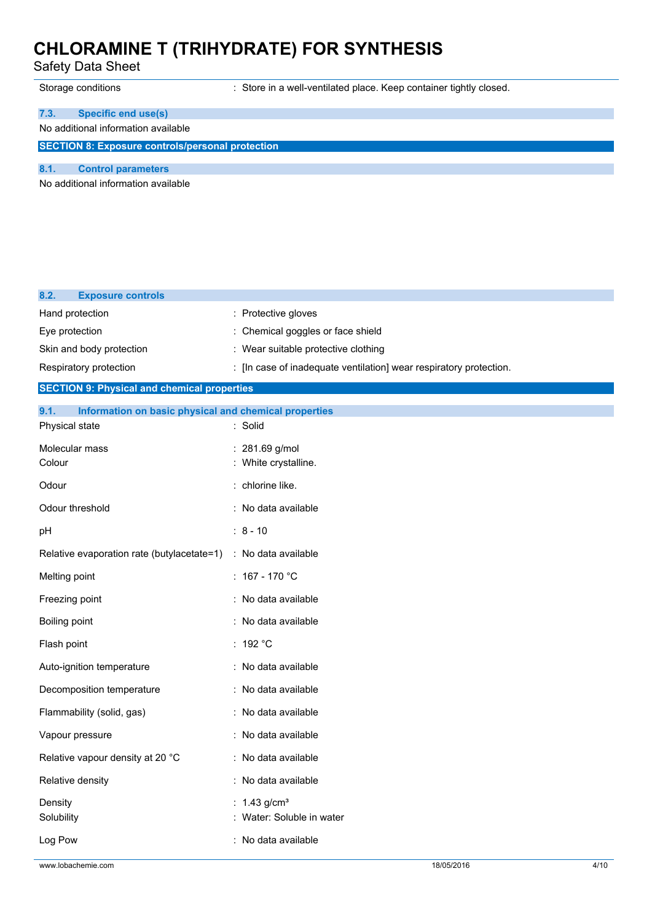Safety Data Sheet

Storage conditions **Store in a well-ventilated place. Keep container tightly closed.** Store in a well-ventilated place. Keep container tightly closed.

## **7.3. Specific end use(s)**

### No additional information available

**SECTION 8: Exposure controls/personal protection**

**8.1. Control parameters**

No additional information available

| 8.2.<br><b>Exposure controls</b>                              |                                                                    |
|---------------------------------------------------------------|--------------------------------------------------------------------|
| Hand protection                                               | : Protective gloves                                                |
| Eye protection                                                | Chemical goggles or face shield                                    |
| Skin and body protection                                      | : Wear suitable protective clothing                                |
| Respiratory protection                                        | : [In case of inadequate ventilation] wear respiratory protection. |
| <b>SECTION 9: Physical and chemical properties</b>            |                                                                    |
| 9.1.<br>Information on basic physical and chemical properties |                                                                    |
| Physical state                                                | : Solid                                                            |
| Molecular mass                                                | : 281.69 g/mol                                                     |
| Colour                                                        | White crystalline.                                                 |
| Odour                                                         | chlorine like.                                                     |
| Odour threshold                                               | : No data available                                                |
| pH                                                            | $: 8 - 10$                                                         |
| Relative evaporation rate (butylacetate=1)                    | : No data available                                                |
| Melting point                                                 | $: 167 - 170 °C$                                                   |
| Freezing point                                                | : No data available                                                |
| Boiling point                                                 | : No data available                                                |
| Flash point                                                   | : 192 $^{\circ}$ C                                                 |
| Auto-ignition temperature                                     | : No data available                                                |
| Decomposition temperature                                     | : No data available                                                |
| Flammability (solid, gas)                                     | No data available                                                  |
| Vapour pressure                                               | No data available                                                  |
| Relative vapour density at 20 °C                              | No data available                                                  |
| Relative density                                              | No data available                                                  |
| Density                                                       | 1.43 $g/cm3$                                                       |
| Solubility                                                    | Water: Soluble in water                                            |
| Log Pow                                                       | : No data available                                                |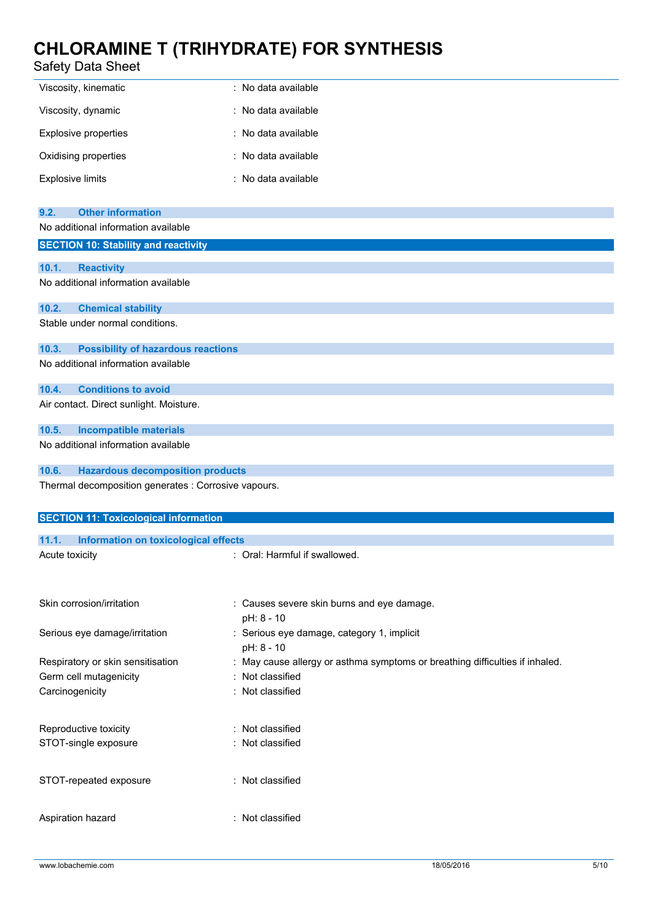## Safety Data Sheet

| Viscosity, kinematic        | : No data available |
|-----------------------------|---------------------|
| Viscosity, dynamic          | : No data available |
| <b>Explosive properties</b> | : No data available |
| Oxidising properties        | : No data available |
| <b>Explosive limits</b>     | : No data available |

| <b>Other information</b><br>9.2.                     |                                                                              |
|------------------------------------------------------|------------------------------------------------------------------------------|
| No additional information available                  |                                                                              |
| <b>SECTION 10: Stability and reactivity</b>          |                                                                              |
| 10.1.<br><b>Reactivity</b>                           |                                                                              |
| No additional information available                  |                                                                              |
|                                                      |                                                                              |
| 10.2.<br><b>Chemical stability</b>                   |                                                                              |
| Stable under normal conditions.                      |                                                                              |
|                                                      |                                                                              |
| 10.3.<br><b>Possibility of hazardous reactions</b>   |                                                                              |
| No additional information available                  |                                                                              |
|                                                      |                                                                              |
| 10.4.<br><b>Conditions to avoid</b>                  |                                                                              |
| Air contact. Direct sunlight. Moisture.              |                                                                              |
| <b>Incompatible materials</b><br>10.5.               |                                                                              |
| No additional information available                  |                                                                              |
|                                                      |                                                                              |
| 10.6.<br><b>Hazardous decomposition products</b>     |                                                                              |
| Thermal decomposition generates : Corrosive vapours. |                                                                              |
|                                                      |                                                                              |
| <b>SECTION 11: Toxicological information</b>         |                                                                              |
|                                                      |                                                                              |
| 11.1.<br>Information on toxicological effects        |                                                                              |
| Acute toxicity                                       | : Oral: Harmful if swallowed.                                                |
|                                                      |                                                                              |
|                                                      |                                                                              |
| Skin corrosion/irritation                            | : Causes severe skin burns and eye damage.                                   |
|                                                      | pH: 8 - 10                                                                   |
| Serious eye damage/irritation                        | : Serious eye damage, category 1, implicit                                   |
|                                                      | pH: 8 - 10                                                                   |
| Respiratory or skin sensitisation                    | : May cause allergy or asthma symptoms or breathing difficulties if inhaled. |
| Germ cell mutagenicity                               | : Not classified                                                             |
| Carcinogenicity                                      | : Not classified                                                             |
|                                                      |                                                                              |
| Reproductive toxicity                                | : Not classified                                                             |
| STOT-single exposure                                 | : Not classified                                                             |
|                                                      |                                                                              |
|                                                      |                                                                              |
|                                                      |                                                                              |
| STOT-repeated exposure                               | : Not classified                                                             |
|                                                      |                                                                              |

Aspiration hazard : Not classified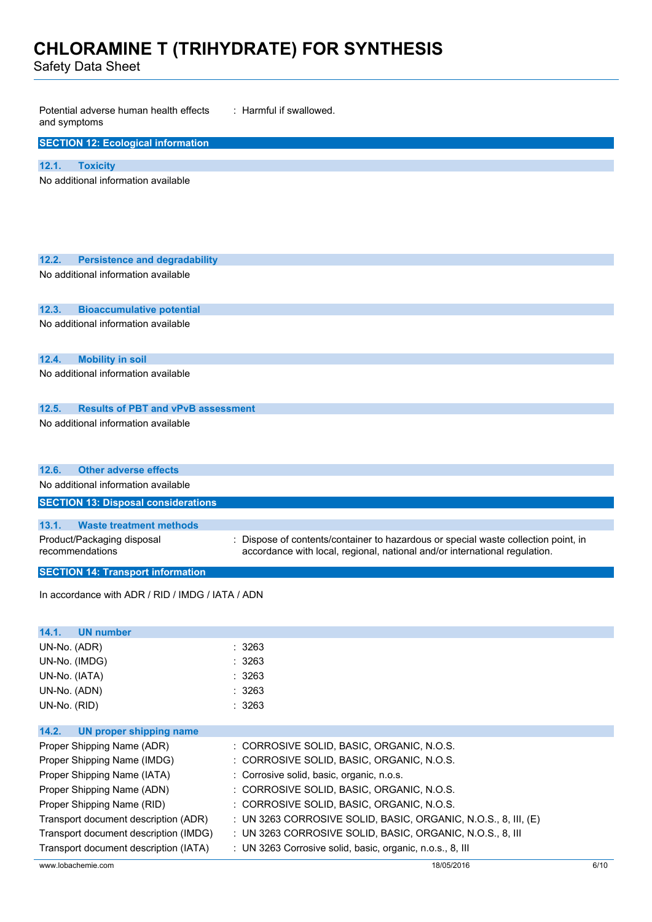Safety Data Sheet

| Potential adverse human health effects<br>and symptoms                           | : Harmful if swallowed.                                                            |
|----------------------------------------------------------------------------------|------------------------------------------------------------------------------------|
| <b>SECTION 12: Ecological information</b>                                        |                                                                                    |
| 12.1.<br><b>Toxicity</b>                                                         |                                                                                    |
| No additional information available                                              |                                                                                    |
|                                                                                  |                                                                                    |
| 12.2.<br><b>Persistence and degradability</b>                                    |                                                                                    |
| No additional information available                                              |                                                                                    |
|                                                                                  |                                                                                    |
| 12.3.<br><b>Bioaccumulative potential</b><br>No additional information available |                                                                                    |
|                                                                                  |                                                                                    |
| 12.4.<br><b>Mobility in soil</b>                                                 |                                                                                    |
| No additional information available                                              |                                                                                    |
| <b>Results of PBT and vPvB assessment</b><br>12.5.                               |                                                                                    |
| No additional information available                                              |                                                                                    |
|                                                                                  |                                                                                    |
|                                                                                  |                                                                                    |
| <b>Other adverse effects</b><br>12.6.                                            |                                                                                    |
| No additional information available                                              |                                                                                    |
| <b>SECTION 13: Disposal considerations</b>                                       |                                                                                    |
| 13.1.<br><b>Waste treatment methods</b>                                          |                                                                                    |
| Product/Packaging disposal                                                       | : Dispose of contents/container to hazardous or special waste collection point, in |
| recommendations                                                                  | accordance with local, regional, national and/or international regulation.         |
| <b>SECTION 14: Transport information</b>                                         |                                                                                    |
| In accordance with ADR / RID / IMDG / IATA / ADN                                 |                                                                                    |
|                                                                                  |                                                                                    |
| <b>UN number</b><br>14.1.                                                        |                                                                                    |
| UN-No. (ADR)                                                                     | : 3263                                                                             |
| UN-No. (IMDG)                                                                    | : 3263                                                                             |
| UN-No. (IATA)                                                                    | : 3263                                                                             |
| UN-No. (ADN)                                                                     | : 3263                                                                             |
| UN-No. (RID)                                                                     | : 3263                                                                             |
| 14.2.<br><b>UN proper shipping name</b>                                          |                                                                                    |
| Proper Shipping Name (ADR)                                                       | : CORROSIVE SOLID, BASIC, ORGANIC, N.O.S.                                          |
| Proper Shipping Name (IMDG)                                                      | : CORROSIVE SOLID, BASIC, ORGANIC, N.O.S.                                          |
| Proper Shipping Name (IATA)                                                      | : Corrosive solid, basic, organic, n.o.s.                                          |
| Proper Shipping Name (ADN)                                                       | : CORROSIVE SOLID, BASIC, ORGANIC, N.O.S.                                          |
| Proper Shipping Name (RID)                                                       | : CORROSIVE SOLID, BASIC, ORGANIC, N.O.S.                                          |
| Transport document description (ADR)                                             | : UN 3263 CORROSIVE SOLID, BASIC, ORGANIC, N.O.S., 8, III, (E)                     |

www.lobachemie.com 6/10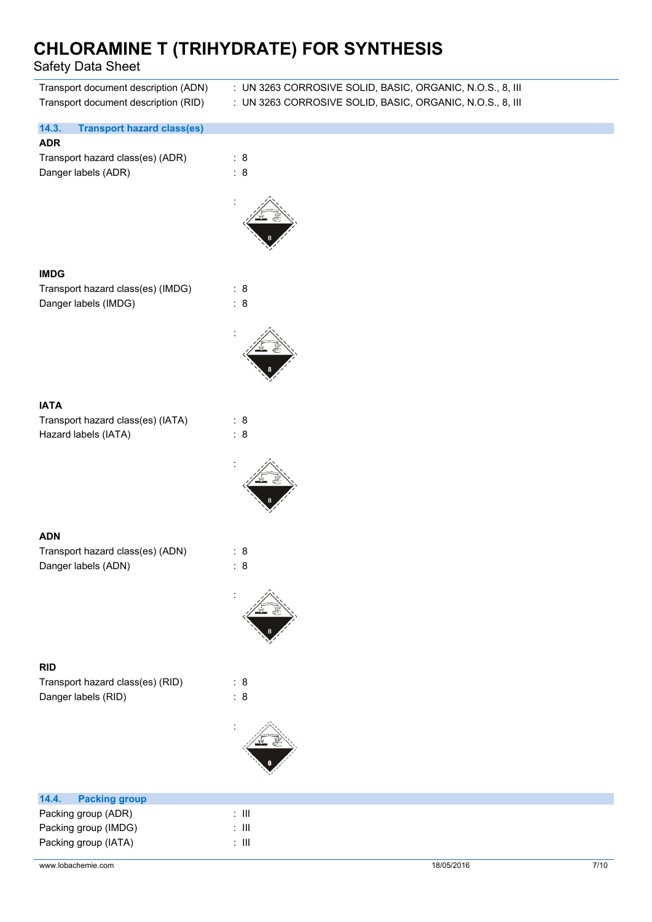| Transport document description (ADN)<br>Transport document description (RID) | : UN 3263 CORROSIVE SOLID, BASIC, ORGANIC, N.O.S., 8, III<br>: UN 3263 CORROSIVE SOLID, BASIC, ORGANIC, N.O.S., 8, III |
|------------------------------------------------------------------------------|------------------------------------------------------------------------------------------------------------------------|
| 14.3.<br><b>Transport hazard class(es)</b><br><b>ADR</b>                     |                                                                                                                        |
| Transport hazard class(es) (ADR)<br>Danger labels (ADR)                      | : 8<br>: 8                                                                                                             |
|                                                                              |                                                                                                                        |
| <b>IMDG</b>                                                                  |                                                                                                                        |
| Transport hazard class(es) (IMDG)<br>Danger labels (IMDG)                    | : 8<br>: 8                                                                                                             |
|                                                                              |                                                                                                                        |
| <b>IATA</b>                                                                  |                                                                                                                        |
| Transport hazard class(es) (IATA)<br>Hazard labels (IATA)                    | : 8<br>: 8                                                                                                             |
|                                                                              |                                                                                                                        |
| <b>ADN</b>                                                                   |                                                                                                                        |
| Transport hazard class(es) (ADN)<br>Danger labels (ADN)                      | : 8<br>: 8                                                                                                             |
|                                                                              |                                                                                                                        |
| <b>RID</b>                                                                   | : 8                                                                                                                    |
| Transport hazard class(es) (RID)<br>Danger labels (RID)                      | : 8                                                                                                                    |
|                                                                              |                                                                                                                        |

Packing group (IMDG) : III Packing group (IATA) : III

Packing group (ADR) : III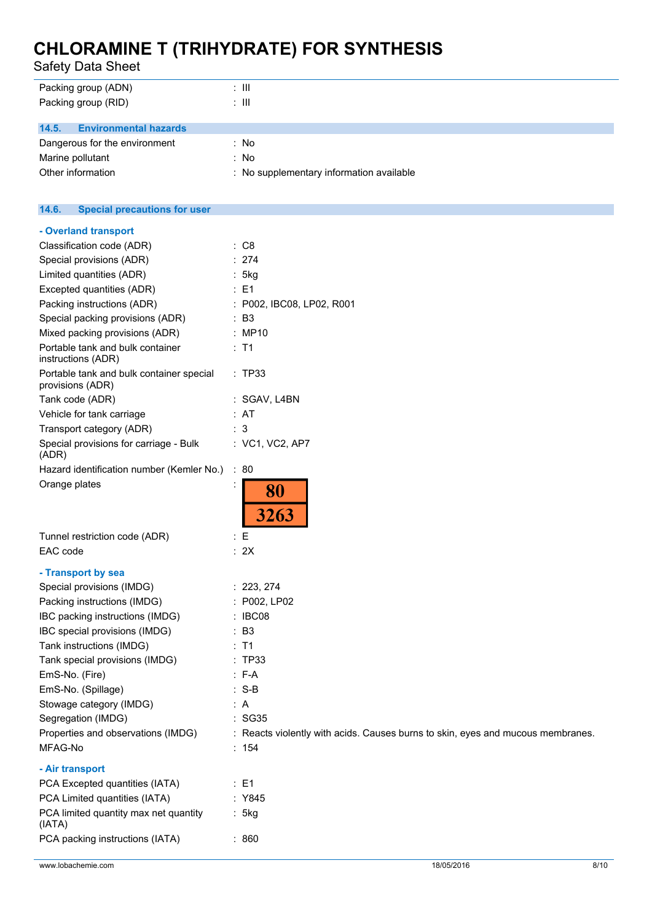Safety Data Sheet

| <b>UAICIV DAIA UIICCI</b>                                    |                                          |
|--------------------------------------------------------------|------------------------------------------|
| Packing group (ADN)                                          | $\therefore$ III                         |
| Packing group (RID)                                          | : III                                    |
| 14.5.<br><b>Environmental hazards</b>                        |                                          |
| Dangerous for the environment                                | : No                                     |
| Marine pollutant                                             | : No                                     |
| Other information                                            | : No supplementary information available |
|                                                              |                                          |
| 14.6.<br><b>Special precautions for user</b>                 |                                          |
| - Overland transport                                         |                                          |
| Classification code (ADR)                                    | : C8                                     |
| Special provisions (ADR)                                     | : 274                                    |
| Limited quantities (ADR)                                     | : 5kg                                    |
| Excepted quantities (ADR)                                    | $\therefore$ E1                          |
| Packing instructions (ADR)                                   | : P002, IBC08, LP02, R001                |
| Special packing provisions (ADR)                             | $\therefore$ B3                          |
| Mixed packing provisions (ADR)                               | : MP10                                   |
| Portable tank and bulk container<br>instructions (ADR)       | $:$ T1                                   |
| Portable tank and bulk container special<br>provisions (ADR) | : TP33                                   |
| Tank code (ADR)                                              | : SGAV, L4BN                             |
| Vehicle for tank carriage                                    | : AT                                     |
| Transport category (ADR)                                     | : 3                                      |

Properties and observations (IMDG) : Reacts violently with acids. Causes burns to skin, eyes and mucous membranes.

| Hazard identification number (Kemler No.) : 80 |              |
|------------------------------------------------|--------------|
| Orange plates                                  | 80           |
|                                                |              |
|                                                | 3263         |
| Tunnel restriction code (ADR)                  | : E          |
| EAC code                                       | : 2X         |
| - Transport by sea                             |              |
| Special provisions (IMDG)                      | : 223, 274   |
| Packing instructions (IMDG)                    | : P002, LP02 |
| IBC packing instructions (IMDG)                | : IBC08      |
| IBC special provisions (IMDG)                  | : B3         |
| Tank instructions (IMDG)                       | : T1         |
| Tank special provisions (IMDG)                 | : TP33       |
| EmS-No. (Fire)                                 | $: F-A$      |
| EmS-No. (Spillage)                             | : S-B        |
| Stowage category (IMDG)                        | : A          |

Special provisions for carriage - Bulk  $\hspace{1.6cm}$  : VC1, VC2, AP7

### **- Air transport**

(ADR)

| PCA Excepted quantities (IATA)        | : E1   |
|---------------------------------------|--------|
| PCA Limited quantities (IATA)         | : Y845 |
| PCA limited quantity max net quantity | : 5kg  |
| (IATA)                                |        |
| PCA packing instructions (IATA)       | : 860  |
|                                       |        |

Segregation (IMDG) **: SG35** 

MFAG-No : 154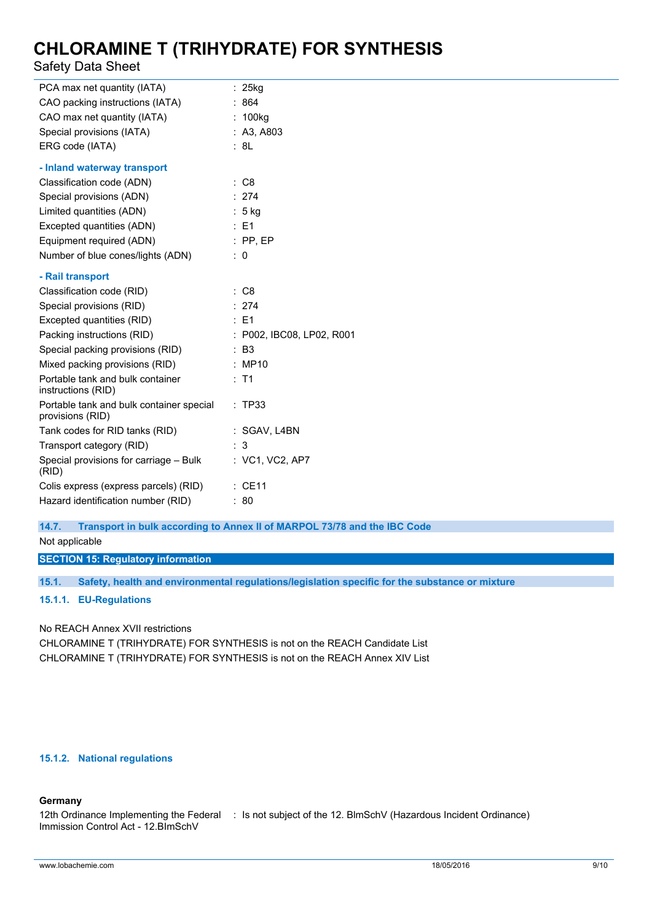### Safety Data Sheet

| PCA max net quantity (IATA)                                  | $: 25$ kg                 |
|--------------------------------------------------------------|---------------------------|
| CAO packing instructions (IATA)                              | 864                       |
| CAO max net quantity (IATA)                                  | 100kg                     |
| Special provisions (IATA)                                    | : A3, A803                |
| ERG code (IATA)                                              | : 8L                      |
| - Inland waterway transport                                  |                           |
| Classification code (ADN)                                    | : C8                      |
| Special provisions (ADN)                                     | : 274                     |
| Limited quantities (ADN)                                     | : 5 kg                    |
| Excepted quantities (ADN)                                    | : E1                      |
| Equipment required (ADN)                                     | $:$ PP, EP                |
| Number of blue cones/lights (ADN)                            | $\therefore$ 0            |
| - Rail transport                                             |                           |
| Classification code (RID)                                    | : C8                      |
| Special provisions (RID)                                     | : 274                     |
| Excepted quantities (RID)                                    | $\therefore$ E1           |
| Packing instructions (RID)                                   | : P002, IBC08, LP02, R001 |
| Special packing provisions (RID)                             | : B3                      |
| Mixed packing provisions (RID)                               | : MP10                    |
| Portable tank and bulk container<br>instructions (RID)       | : T1                      |
| Portable tank and bulk container special<br>provisions (RID) | : TP33                    |
| Tank codes for RID tanks (RID)                               | : SGAV, L4BN              |
| Transport category (RID)                                     | 3                         |
| Special provisions for carriage - Bulk<br>(RID)              | : VC1, VC2, AP7           |
| Colis express (express parcels) (RID)                        | $:$ CE11                  |
| Hazard identification number (RID)                           | 80                        |

**14.7. Transport in bulk according to Annex II of MARPOL 73/78 and the IBC Code**

Not applicable

**SECTION 15: Regulatory information**

**15.1. Safety, health and environmental regulations/legislation specific for the substance or mixture**

### **15.1.1. EU-Regulations**

No REACH Annex XVII restrictions

CHLORAMINE T (TRIHYDRATE) FOR SYNTHESIS is not on the REACH Candidate List CHLORAMINE T (TRIHYDRATE) FOR SYNTHESIS is not on the REACH Annex XIV List

### **15.1.2. National regulations**

### **Germany**

```
12th Ordinance Implementing the Federal
: Is not subject of the 12. BlmSchV (Hazardous Incident Ordinance)Immission Control Act - 12.BImSchV
```